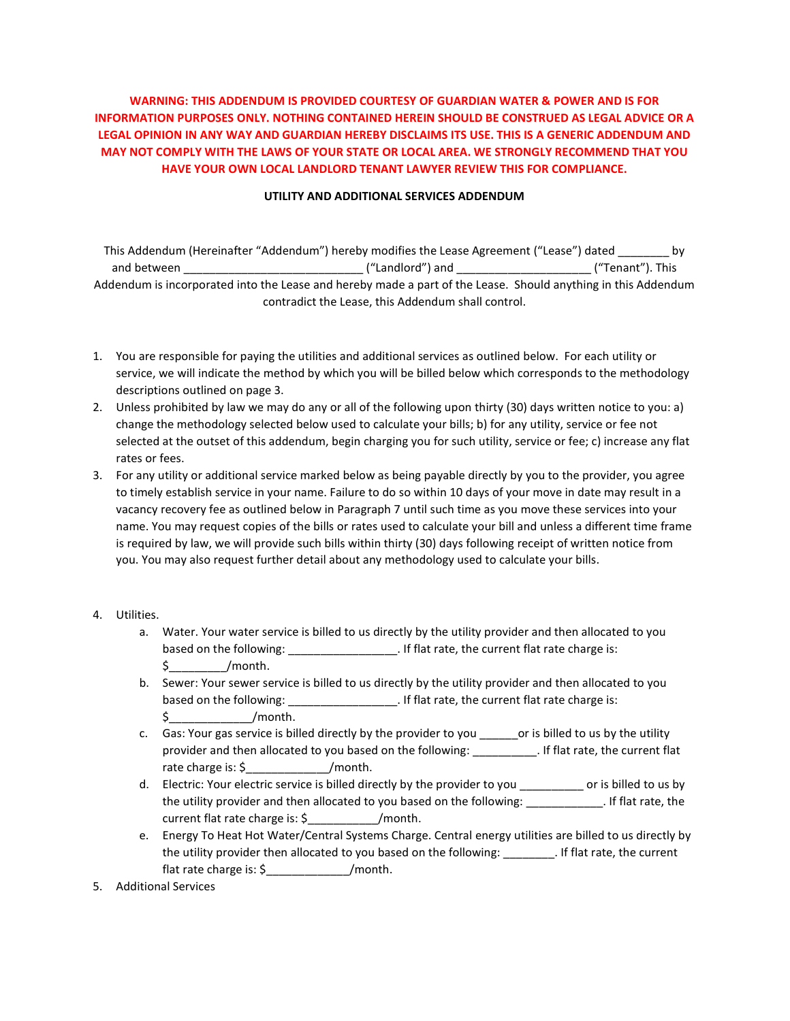## WARNING: THIS ADDENDUM IS PROVIDED COURTESY OF GUARDIAN WATER & POWER AND IS FOR INFORMATION PURPOSES ONLY. NOTHING CONTAINED HEREIN SHOULD BE CONSTRUED AS LEGAL ADVICE OR A LEGAL OPINION IN ANY WAY AND GUARDIAN HEREBY DISCLAIMS ITS USE. THIS IS A GENERIC ADDENDUM AND MAY NOT COMPLY WITH THE LAWS OF YOUR STATE OR LOCAL AREA. WE STRONGLY RECOMMEND THAT YOU HAVE YOUR OWN LOCAL LANDLORD TENANT LAWYER REVIEW THIS FOR COMPLIANCE.

## UTILITY AND ADDITIONAL SERVICES ADDENDUM

| This Addendum (Hereinafter "Addendum") hereby modifies the Lease Agreement ("Lease") dated                    |                  |                  |  |  |
|---------------------------------------------------------------------------------------------------------------|------------------|------------------|--|--|
| and between                                                                                                   | ("Landlord") and | ("Tenant"). This |  |  |
| Addendum is incorporated into the Lease and hereby made a part of the Lease. Should anything in this Addendum |                  |                  |  |  |
| contradict the Lease, this Addendum shall control.                                                            |                  |                  |  |  |

- 1. You are responsible for paying the utilities and additional services as outlined below. For each utility or service, we will indicate the method by which you will be billed below which corresponds to the methodology descriptions outlined on page 3.
- 2. Unless prohibited by law we may do any or all of the following upon thirty (30) days written notice to you: a) change the methodology selected below used to calculate your bills; b) for any utility, service or fee not selected at the outset of this addendum, begin charging you for such utility, service or fee; c) increase any flat rates or fees.
- 3. For any utility or additional service marked below as being payable directly by you to the provider, you agree to timely establish service in your name. Failure to do so within 10 days of your move in date may result in a vacancy recovery fee as outlined below in Paragraph 7 until such time as you move these services into your name. You may request copies of the bills or rates used to calculate your bill and unless a different time frame is required by law, we will provide such bills within thirty (30) days following receipt of written notice from you. You may also request further detail about any methodology used to calculate your bills.
- 4. Utilities.
	- a. Water. Your water service is billed to us directly by the utility provider and then allocated to you based on the following: \_\_\_\_\_\_\_\_\_\_\_\_\_\_\_\_\_\_\_\_\_\_. If flat rate, the current flat rate charge is:  $\sinh(1)$
	- b. Sewer: Your sewer service is billed to us directly by the utility provider and then allocated to you based on the following: \_\_\_\_\_\_\_\_\_\_\_\_\_\_\_\_\_\_\_\_. If flat rate, the current flat rate charge is:  $\sin\theta$  /month.
	- c. Gas: Your gas service is billed directly by the provider to you \_\_\_\_\_\_\_or is billed to us by the utility provider and then allocated to you based on the following: \_\_\_\_\_\_\_\_\_\_. If flat rate, the current flat rate charge is: \$\_\_\_\_\_\_\_\_\_\_\_\_\_/month.
	- d. Electric: Your electric service is billed directly by the provider to you \_\_\_\_\_\_\_\_\_\_ or is billed to us by the utility provider and then allocated to you based on the following: \_\_\_\_\_\_\_\_\_\_\_\_. If flat rate, the current flat rate charge is: \$  $/$  month.
	- e. Energy To Heat Hot Water/Central Systems Charge. Central energy utilities are billed to us directly by the utility provider then allocated to you based on the following: \_\_\_\_\_\_\_\_. If flat rate, the current flat rate charge is: \$\_\_\_\_\_\_\_\_\_\_\_\_\_/month.
- 5. Additional Services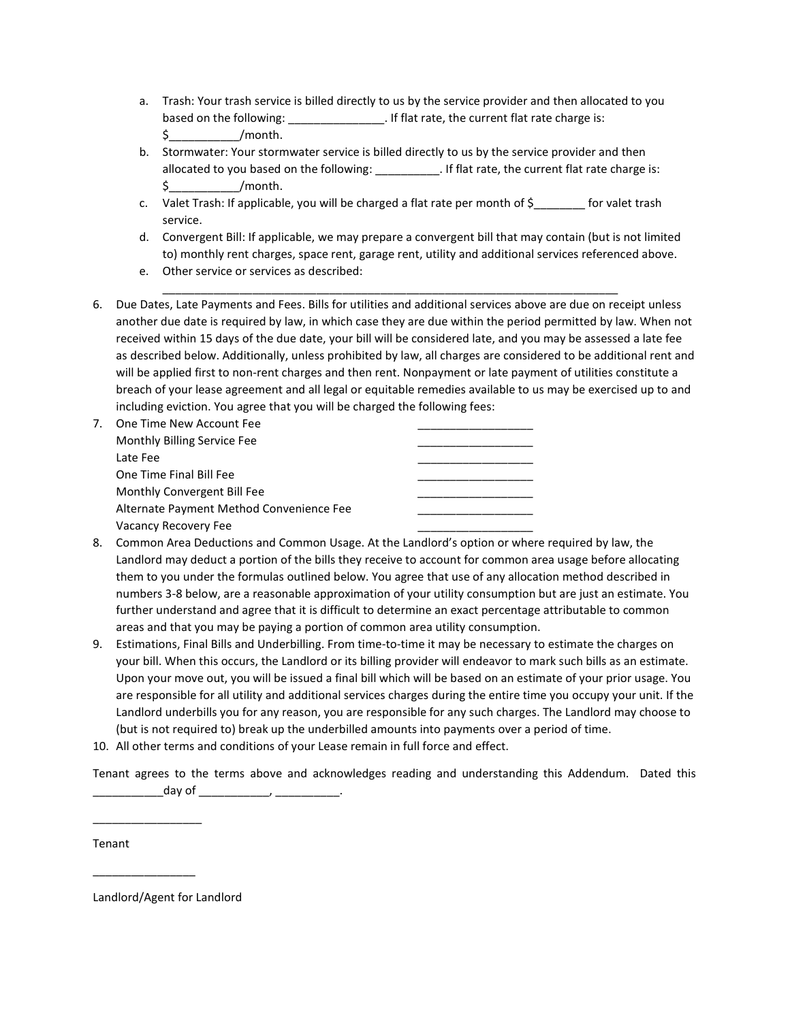- a. Trash: Your trash service is billed directly to us by the service provider and then allocated to you based on the following:  $\qquad \qquad$  . If flat rate, the current flat rate charge is:  $\zeta$  /month.
- b. Stormwater: Your stormwater service is billed directly to us by the service provider and then allocated to you based on the following: \_\_\_\_\_\_\_\_\_\_. If flat rate, the current flat rate charge is:  $\sin\theta$  /month.
- c. Valet Trash: If applicable, you will be charged a flat rate per month of \$\_\_\_\_\_\_\_\_ for valet trash service.
- d. Convergent Bill: If applicable, we may prepare a convergent bill that may contain (but is not limited to) monthly rent charges, space rent, garage rent, utility and additional services referenced above.
- e. Other service or services as described:
- 6. Due Dates, Late Payments and Fees. Bills for utilities and additional services above are due on receipt unless another due date is required by law, in which case they are due within the period permitted by law. When not received within 15 days of the due date, your bill will be considered late, and you may be assessed a late fee as described below. Additionally, unless prohibited by law, all charges are considered to be additional rent and will be applied first to non-rent charges and then rent. Nonpayment or late payment of utilities constitute a breach of your lease agreement and all legal or equitable remedies available to us may be exercised up to and including eviction. You agree that you will be charged the following fees:

\_\_\_\_\_\_\_\_\_\_\_\_\_\_\_\_\_\_\_\_\_\_\_\_\_\_\_\_\_\_\_\_\_\_\_\_\_\_\_\_\_\_\_\_\_\_\_\_\_\_\_\_\_\_\_\_\_\_\_\_\_\_\_\_\_\_\_\_\_\_\_

| One Time New Account Fee                 |  |
|------------------------------------------|--|
| Monthly Billing Service Fee              |  |
| Late Fee                                 |  |
| One Time Final Bill Fee                  |  |
| Monthly Convergent Bill Fee              |  |
| Alternate Payment Method Convenience Fee |  |
| Vacancy Recovery Fee                     |  |

- 8. Common Area Deductions and Common Usage. At the Landlord's option or where required by law, the Landlord may deduct a portion of the bills they receive to account for common area usage before allocating them to you under the formulas outlined below. You agree that use of any allocation method described in numbers 3-8 below, are a reasonable approximation of your utility consumption but are just an estimate. You further understand and agree that it is difficult to determine an exact percentage attributable to common areas and that you may be paying a portion of common area utility consumption.
- 9. Estimations, Final Bills and Underbilling. From time-to-time it may be necessary to estimate the charges on your bill. When this occurs, the Landlord or its billing provider will endeavor to mark such bills as an estimate. Upon your move out, you will be issued a final bill which will be based on an estimate of your prior usage. You are responsible for all utility and additional services charges during the entire time you occupy your unit. If the Landlord underbills you for any reason, you are responsible for any such charges. The Landlord may choose to (but is not required to) break up the underbilled amounts into payments over a period of time.
- 10. All other terms and conditions of your Lease remain in full force and effect.

Tenant agrees to the terms above and acknowledges reading and understanding this Addendum. Dated this \_\_\_\_\_\_\_day of \_\_\_\_\_\_\_\_\_\_\_\_\_\_\_\_\_\_\_\_\_\_\_\_\_\_\_\_\_\_\_\_.

Tenant

Landlord/Agent for Landlord

 $\overline{\phantom{a}}$  , where  $\overline{\phantom{a}}$ 

 $\overline{\phantom{a}}$  , where  $\overline{\phantom{a}}$